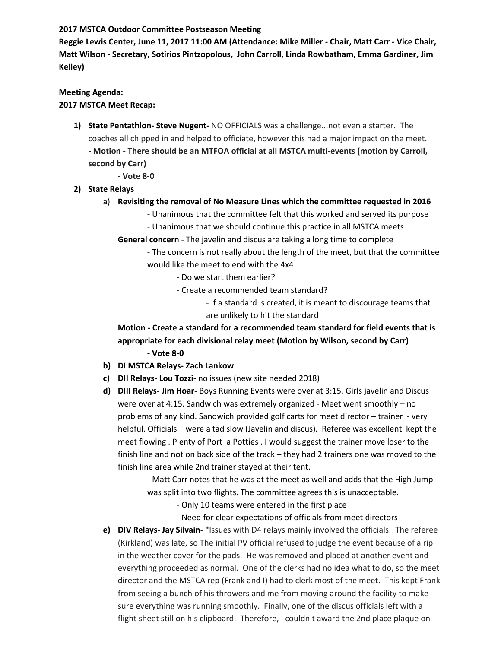## **2017 MSTCA Outdoor Committee Postseason Meeting**

**Reggie Lewis Center, June 11, 2017 11:00 AM (Attendance: Mike Miller - Chair, Matt Carr - Vice Chair, Matt Wilson - Secretary, Sotirios Pintzopolous, John Carroll, Linda Rowbatham, Emma Gardiner, Jim Kelley)**

# **Meeting Agenda:**

# **2017 MSTCA Meet Recap:**

- **1) State Pentathlon- Steve Nugent-** NO OFFICIALS was a challenge...not even a starter. The coaches all chipped in and helped to officiate, however this had a major impact on the meet. **- Motion - There should be an MTFOA official at all MSTCA multi-events (motion by Carroll, second by Carr)**
	- **- Vote 8-0**
- **2) State Relays**
	- a) **Revisiting the removal of No Measure Lines which the committee requested in 2016**
		- Unanimous that the committee felt that this worked and served its purpose
		- Unanimous that we should continue this practice in all MSTCA meets
		- **General concern** The javelin and discus are taking a long time to complete

- The concern is not really about the length of the meet, but that the committee would like the meet to end with the 4x4

- Do we start them earlier?
- Create a recommended team standard?
	- If a standard is created, it is meant to discourage teams that are unlikely to hit the standard

**Motion - Create a standard for a recommended team standard for field events that is appropriate for each divisional relay meet (Motion by Wilson, second by Carr) - Vote 8-0**

- **b) DI MSTCA Relays- Zach Lankow**
- **c) DII Relays- Lou Tozzi-** no issues (new site needed 2018)
- **d) DIII Relays- Jim Hoar-** Boys Running Events were over at 3:15. Girls javelin and Discus were over at 4:15. Sandwich was extremely organized - Meet went smoothly – no problems of any kind. Sandwich provided golf carts for meet director – trainer - very helpful. Officials – were a tad slow (Javelin and discus). Referee was excellent kept the meet flowing . Plenty of Port a Potties . I would suggest the trainer move loser to the finish line and not on back side of the track – they had 2 trainers one was moved to the finish line area while 2nd trainer stayed at their tent.

- Matt Carr notes that he was at the meet as well and adds that the High Jump was split into two flights. The committee agrees this is unacceptable.

- Only 10 teams were entered in the first place
- Need for clear expectations of officials from meet directors
- **e) DIV Relays- Jay Silvain- "**Issues with D4 relays mainly involved the officials. The referee (Kirkland) was late, so The initial PV official refused to judge the event because of a rip in the weather cover for the pads. He was removed and placed at another event and everything proceeded as normal. One of the clerks had no idea what to do, so the meet director and the MSTCA rep (Frank and I) had to clerk most of the meet. This kept Frank from seeing a bunch of his throwers and me from moving around the facility to make sure everything was running smoothly. Finally, one of the discus officials left with a flight sheet still on his clipboard. Therefore, I couldn't award the 2nd place plaque on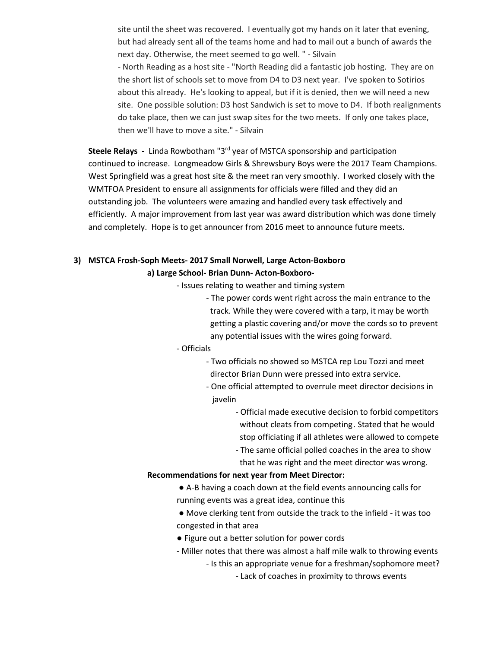site until the sheet was recovered. I eventually got my hands on it later that evening, but had already sent all of the teams home and had to mail out a bunch of awards the next day. Otherwise, the meet seemed to go well. " - Silvain - North Reading as a host site - "North Reading did a fantastic job hosting. They are on the short list of schools set to move from D4 to D3 next year. I've spoken to Sotirios about this already. He's looking to appeal, but if it is denied, then we will need a new site. One possible solution: D3 host Sandwich is set to move to D4. If both realignments do take place, then we can just swap sites for the two meets. If only one takes place, then we'll have to move a site." - Silvain

Steele Relays - Linda Rowbotham "3<sup>rd</sup> year of MSTCA sponsorship and participation continued to increase. Longmeadow Girls & Shrewsbury Boys were the 2017 Team Champions. West Springfield was a great host site & the meet ran very smoothly. I worked closely with the WMTFOA President to ensure all assignments for officials were filled and they did an outstanding job. The volunteers were amazing and handled every task effectively and efficiently. A major improvement from last year was award distribution which was done timely and completely. Hope is to get announcer from 2016 meet to announce future meets.

# **3) MSTCA Frosh-Soph Meets- 2017 Small Norwell, Large Acton-Boxboro**

#### **a) Large School- Brian Dunn- Acton-Boxboro-**

- Issues relating to weather and timing system
	- The power cords went right across the main entrance to the track. While they were covered with a tarp, it may be worth getting a plastic covering and/or move the cords so to prevent any potential issues with the wires going forward.

#### - Officials

- Two officials no showed so MSTCA rep Lou Tozzi and meet director Brian Dunn were pressed into extra service.
- One official attempted to overrule meet director decisions in javelin
	- Official made executive decision to forbid competitors without cleats from competing. Stated that he would stop officiating if all athletes were allowed to compete
	- The same official polled coaches in the area to show that he was right and the meet director was wrong.

#### **Recommendations for next year from Meet Director:**

- A-B having a coach down at the field events announcing calls for running events was a great idea, continue this
- Move clerking tent from outside the track to the infield it was too congested in that area
- Figure out a better solution for power cords
- Miller notes that there was almost a half mile walk to throwing events
	- Is this an appropriate venue for a freshman/sophomore meet?
		- Lack of coaches in proximity to throws events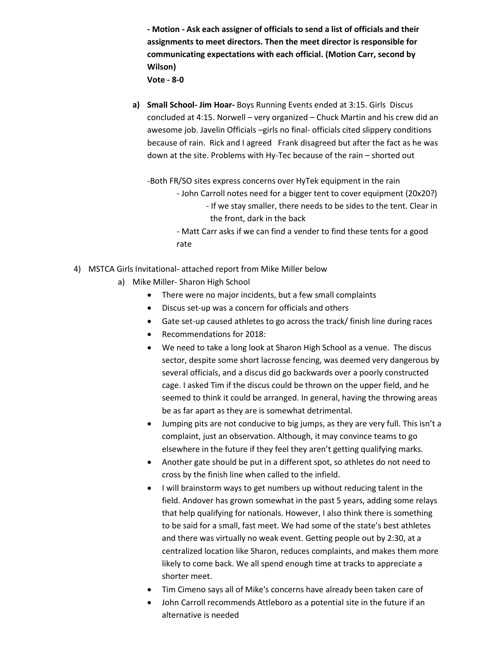**- Motion - Ask each assigner of officials to send a list of officials and their assignments to meet directors. Then the meet director is responsible for communicating expectations with each official. (Motion Carr, second by Wilson) Vote - 8-0**

**a) Small School- Jim Hoar-** Boys Running Events ended at 3:15. Girls Discus concluded at 4:15. Norwell – very organized – Chuck Martin and his crew did an awesome job. Javelin Officials –girls no final- officials cited slippery conditions because of rain. Rick and I agreed Frank disagreed but after the fact as he was down at the site. Problems with Hy-Tec because of the rain – shorted out

-Both FR/SO sites express concerns over HyTek equipment in the rain

- John Carroll notes need for a bigger tent to cover equipment (20x20?) - If we stay smaller, there needs to be sides to the tent. Clear in the front, dark in the back
- Matt Carr asks if we can find a vender to find these tents for a good rate
- 4) MSTCA Girls Invitational- attached report from Mike Miller below
	- a) Mike Miller- Sharon High School
		- There were no major incidents, but a few small complaints
		- Discus set-up was a concern for officials and others
		- Gate set-up caused athletes to go across the track/ finish line during races
		- Recommendations for 2018:
		- We need to take a long look at Sharon High School as a venue. The discus sector, despite some short lacrosse fencing, was deemed very dangerous by several officials, and a discus did go backwards over a poorly constructed cage. I asked Tim if the discus could be thrown on the upper field, and he seemed to think it could be arranged. In general, having the throwing areas be as far apart as they are is somewhat detrimental.
		- Jumping pits are not conducive to big jumps, as they are very full. This isn't a complaint, just an observation. Although, it may convince teams to go elsewhere in the future if they feel they aren't getting qualifying marks.
		- Another gate should be put in a different spot, so athletes do not need to cross by the finish line when called to the infield.
		- I will brainstorm ways to get numbers up without reducing talent in the field. Andover has grown somewhat in the past 5 years, adding some relays that help qualifying for nationals. However, I also think there is something to be said for a small, fast meet. We had some of the state's best athletes and there was virtually no weak event. Getting people out by 2:30, at a centralized location like Sharon, reduces complaints, and makes them more likely to come back. We all spend enough time at tracks to appreciate a shorter meet.
		- Tim Cimeno says all of Mike's concerns have already been taken care of
		- John Carroll recommends Attleboro as a potential site in the future if an alternative is needed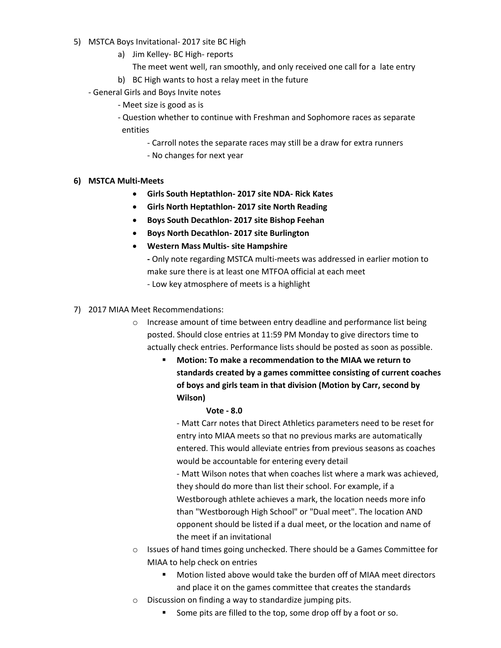- 5) MSTCA Boys Invitational- 2017 site BC High
	- a) Jim Kelley- BC High- reports
		- The meet went well, ran smoothly, and only received one call for a late entry
	- b) BC High wants to host a relay meet in the future
	- General Girls and Boys Invite notes
		- Meet size is good as is
		- Question whether to continue with Freshman and Sophomore races as separate entities
			- Carroll notes the separate races may still be a draw for extra runners
			- No changes for next year

## **6) MSTCA Multi-Meets**

- **Girls South Heptathlon- 2017 site NDA- Rick Kates**
- **Girls North Heptathlon- 2017 site North Reading**
- **Boys South Decathlon- 2017 site Bishop Feehan**
- **Boys North Decathlon- 2017 site Burlington**
- **Western Mass Multis- site Hampshire**
	- **-** Only note regarding MSTCA multi-meets was addressed in earlier motion to make sure there is at least one MTFOA official at each meet
	- Low key atmosphere of meets is a highlight
- 7) 2017 MIAA Meet Recommendations:
	- o Increase amount of time between entry deadline and performance list being posted. Should close entries at 11:59 PM Monday to give directors time to actually check entries. Performance lists should be posted as soon as possible.
		- **Motion: To make a recommendation to the MIAA we return to standards created by a games committee consisting of current coaches of boys and girls team in that division (Motion by Carr, second by Wilson)**

#### **Vote - 8.0**

- Matt Carr notes that Direct Athletics parameters need to be reset for entry into MIAA meets so that no previous marks are automatically entered. This would alleviate entries from previous seasons as coaches would be accountable for entering every detail

- Matt Wilson notes that when coaches list where a mark was achieved, they should do more than list their school. For example, if a Westborough athlete achieves a mark, the location needs more info than "Westborough High School" or "Dual meet". The location AND opponent should be listed if a dual meet, or the location and name of the meet if an invitational

- o Issues of hand times going unchecked. There should be a Games Committee for MIAA to help check on entries
	- Motion listed above would take the burden off of MIAA meet directors and place it on the games committee that creates the standards
- o Discussion on finding a way to standardize jumping pits.
	- Some pits are filled to the top, some drop off by a foot or so.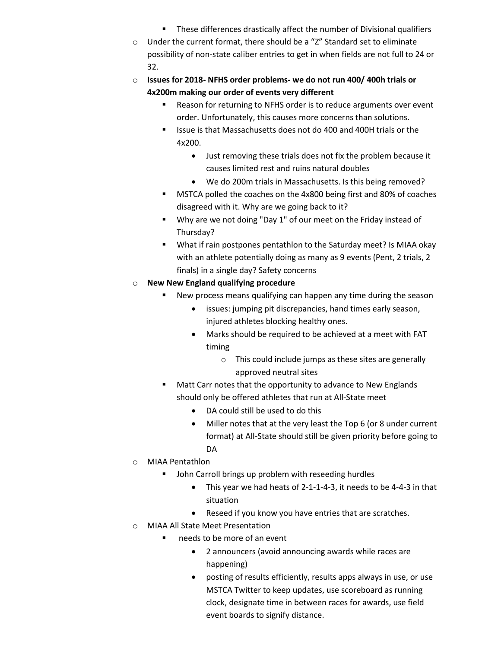- **These differences drastically affect the number of Divisional qualifiers**
- o Under the current format, there should be a "Z" Standard set to eliminate possibility of non-state caliber entries to get in when fields are not full to 24 or 32.
- o **Issues for 2018- NFHS order problems- we do not run 400/ 400h trials or 4x200m making our order of events very different**
	- Reason for returning to NFHS order is to reduce arguments over event order. Unfortunately, this causes more concerns than solutions.
	- Issue is that Massachusetts does not do 400 and 400H trials or the 4x200.
		- Just removing these trials does not fix the problem because it causes limited rest and ruins natural doubles
		- We do 200m trials in Massachusetts. Is this being removed?
	- **MSTCA polled the coaches on the 4x800 being first and 80% of coaches** disagreed with it. Why are we going back to it?
	- Why are we not doing "Day 1" of our meet on the Friday instead of Thursday?
	- What if rain postpones pentathlon to the Saturday meet? Is MIAA okay with an athlete potentially doing as many as 9 events (Pent, 2 trials, 2 finals) in a single day? Safety concerns
- o **New New England qualifying procedure**
	- New process means qualifying can happen any time during the season
		- issues: jumping pit discrepancies, hand times early season, injured athletes blocking healthy ones.
		- Marks should be required to be achieved at a meet with FAT timing
			- o This could include jumps as these sites are generally approved neutral sites
	- **Matt Carr notes that the opportunity to advance to New Englands** should only be offered athletes that run at All-State meet
		- DA could still be used to do this
		- Miller notes that at the very least the Top 6 (or 8 under current format) at All-State should still be given priority before going to **DA**
- o MIAA Pentathlon
	- **John Carroll brings up problem with reseeding hurdles** 
		- This year we had heats of 2-1-1-4-3, it needs to be 4-4-3 in that situation
		- Reseed if you know you have entries that are scratches.
- o MIAA All State Meet Presentation
	- needs to be more of an event
		- 2 announcers (avoid announcing awards while races are happening)
		- posting of results efficiently, results apps always in use, or use MSTCA Twitter to keep updates, use scoreboard as running clock, designate time in between races for awards, use field event boards to signify distance.